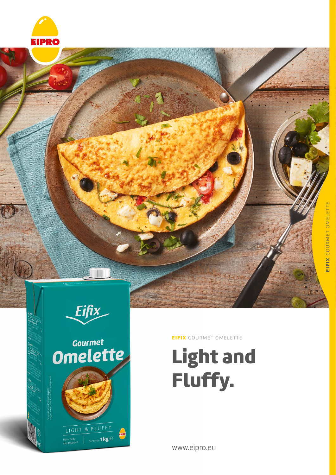



# Gourmet<br>Omelette

LIGHT & FLUFFY

Pan-ready<br><sub>Pan-r</sub>eady<br><sub>P</sub>od failor00<sup>f</sup>

Contents: 1 kg $\rm e$ 

EIFIX GOURMET OMELETTE

## Light and Fluffy.

www.eipro.eu